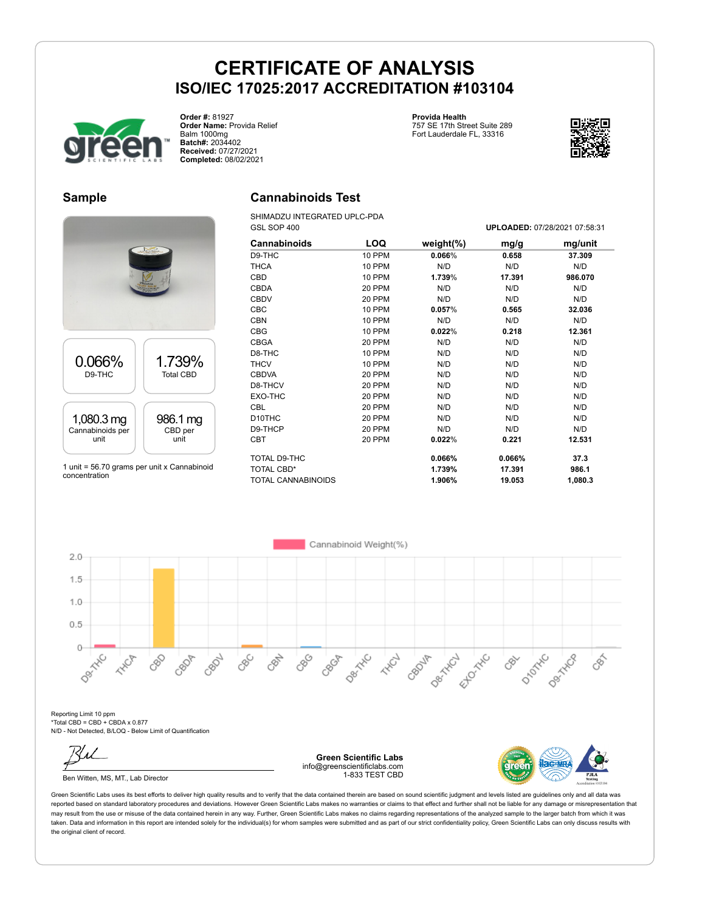

**Order #:** 81927 **Order Name:** Provida Relief Balm 1000mg **Batch#:** 2034402 **Received:** 07/27/2021 **Completed:** 08/02/2021

**Provida Health** 757 SE 17th Street Suite 289

Fort Lauderdale FL, 33316



GSL SOP 400 **UPLOADED:** 07/28/2021 07:58:31

#### **Sample**

#### **Cannabinoids Test**

SHIMADZU INTEGRATED UPLC-PDA

|                  | <b>ELEVATOR</b>  |
|------------------|------------------|
| 0.066%           | 1.739%           |
| D9-THC           | <b>Total CBD</b> |
| 1,080.3 mg       | 986.1 mg         |
| Cannabinoids per | CBD per          |
| unit             | unit             |

1 unit = 56.70 grams per unit x Cannabinoid concentration

| וטט ביט             |               | <b>LOADLD:</b> 0112012021 01:00:01 |        |         |
|---------------------|---------------|------------------------------------|--------|---------|
| <b>Cannabinoids</b> | LOQ           | weight $(\%)$                      | mg/g   | mg/unit |
| D9-THC              | 10 PPM        | 0.066%                             | 0.658  | 37.309  |
| <b>THCA</b>         | <b>10 PPM</b> | N/D                                | N/D    | N/D     |
| CBD                 | 10 PPM        | 1.739%                             | 17.391 | 986.070 |
| <b>CBDA</b>         | 20 PPM        | N/D                                | N/D    | N/D     |
| <b>CBDV</b>         | 20 PPM        | N/D                                | N/D    | N/D     |
| <b>CBC</b>          | 10 PPM        | 0.057%                             | 0.565  | 32.036  |
| <b>CBN</b>          | <b>10 PPM</b> | N/D                                | N/D    | N/D     |
| <b>CBG</b>          | 10 PPM        | 0.022%                             | 0.218  | 12.361  |
| <b>CBGA</b>         | 20 PPM        | N/D                                | N/D    | N/D     |
| D8-THC              | 10 PPM        | N/D                                | N/D    | N/D     |
| <b>THCV</b>         | 10 PPM        | N/D                                | N/D    | N/D     |
| <b>CBDVA</b>        | 20 PPM        | N/D                                | N/D    | N/D     |
| D8-THCV             | 20 PPM        | N/D                                | N/D    | N/D     |
| EXO-THC             | 20 PPM        | N/D                                | N/D    | N/D     |
| <b>CBL</b>          | 20 PPM        | N/D                                | N/D    | N/D     |
| D <sub>10</sub> THC | 20 PPM        | N/D                                | N/D    | N/D     |
| D9-THCP             | 20 PPM        | N/D                                | N/D    | N/D     |
| <b>CBT</b>          | 20 PPM        | 0.022%                             | 0.221  | 12.531  |
| TOTAL D9-THC        |               | 0.066%                             | 0.066% | 37.3    |
| TOTAL CBD*          |               | 1.739%                             | 17.391 | 986.1   |
| TOTAL CANNABINOIDS  |               | 1.906%                             | 19.053 | 1,080.3 |



Reporting Limit 10 ppm \*Total CBD = CBD + CBDA x 0.877 N/D - Not Detected, B/LOQ - Below Limit of Quantification

Ben Witten, MS, MT., Lab Director

**Green Scientific Labs** info@greenscientificlabs.com 1-833 TEST CBD

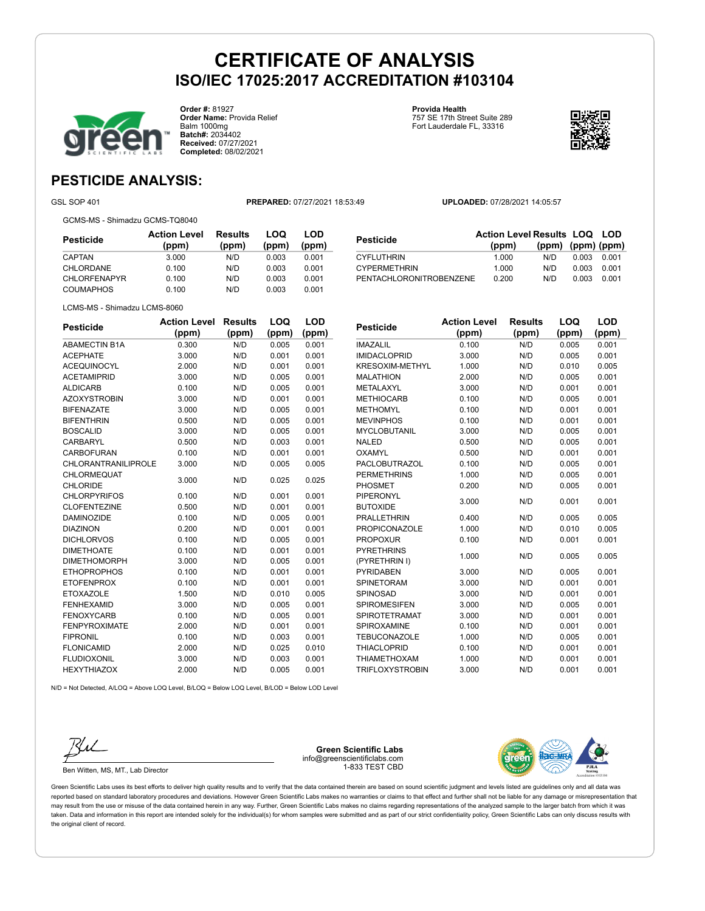

**Order #:** 81927 **Order Name:** Provida Relief Balm 1000mg **Batch#:** 2034402 **Received:** 07/27/2021 **Completed:** 08/02/2021

**Provida Health** 757 SE 17th Street Suite 289 Fort Lauderdale FL, 33316



**LOQ**

**LOD**

### **PESTICIDE ANALYSIS:**

GSL SOP 401 **PREPARED:** 07/27/2021 18:53:49 **UPLOADED:** 07/28/2021 14:05:57

GCMS-MS - Shimadzu GCMS-TQ8040

| Pesticide           | <b>Action Level</b><br>(ppm) | <b>Results</b><br>(ppm) | LOQ<br>(ppm) | LOD<br>(ppm) |
|---------------------|------------------------------|-------------------------|--------------|--------------|
| CAPTAN              | 3.000                        | N/D                     | 0.003        | 0.001        |
| CHLORDANE           | 0.100                        | N/D                     | 0.003        | 0.001        |
| <b>CHLORFENAPYR</b> | 0.100                        | N/D                     | 0.003        | 0.001        |
| <b>COUMAPHOS</b>    | 0.100                        | N/D                     | 0.003        | 0.001        |

| Pesticide               | <b>Action Level Results LOQ LOD</b> |                   |       |       |
|-------------------------|-------------------------------------|-------------------|-------|-------|
|                         | (ppm)                               | (ppm) (ppm) (ppm) |       |       |
| <b>CYFLUTHRIN</b>       | 1.000                               | N/D.              | 0.003 | 0.001 |
| <b>CYPERMETHRIN</b>     | 1.000                               | N/D               | 0.003 | 0.001 |
| PENTACHLORONITROBENZENE | 0.200                               | N/D               | 0.003 | 0.001 |

|  | LCMS-MS - Shimadzu LCMS-8060 |
|--|------------------------------|
|  |                              |

| <b>Pesticide</b>           | <b>Action Level</b> | <b>Results</b> | LOQ   | LOD   |
|----------------------------|---------------------|----------------|-------|-------|
|                            | (ppm)               | (ppm)          | (ppm) | (ppm) |
| <b>ABAMECTIN B1A</b>       | 0.300               | N/D            | 0.005 | 0.001 |
| <b>ACEPHATE</b>            | 3.000               | N/D            | 0.001 | 0.001 |
| <b>ACEQUINOCYL</b>         | 2.000               | N/D            | 0.001 | 0.001 |
| <b>ACETAMIPRID</b>         | 3.000               | N/D            | 0.005 | 0.001 |
| <b>ALDICARB</b>            | 0.100               | N/D            | 0.005 | 0.001 |
| <b>AZOXYSTROBIN</b>        | 3.000               | N/D            | 0.001 | 0.001 |
| <b>BIFENAZATE</b>          | 3.000               | N/D            | 0.005 | 0.001 |
| <b>BIFENTHRIN</b>          | 0.500               | N/D            | 0.005 | 0.001 |
| <b>BOSCALID</b>            | 3.000               | N/D            | 0.005 | 0.001 |
| CARBARYL                   | 0.500               | N/D            | 0.003 | 0.001 |
| <b>CARBOFURAN</b>          | 0.100               | N/D            | 0.001 | 0.001 |
| <b>CHLORANTRANILIPROLE</b> | 3.000               | N/D            | 0.005 | 0.005 |
| <b>CHLORMEQUAT</b>         | 3.000               | N/D            | 0.025 | 0.025 |
| <b>CHLORIDE</b>            |                     |                |       |       |
| <b>CHLORPYRIFOS</b>        | 0.100               | N/D            | 0.001 | 0.001 |
| <b>CLOFENTEZINE</b>        | 0.500               | N/D            | 0.001 | 0.001 |
| <b>DAMINOZIDE</b>          | 0.100               | N/D            | 0.005 | 0.001 |
| <b>DIAZINON</b>            | 0.200               | N/D            | 0.001 | 0.001 |
| <b>DICHLORVOS</b>          | 0.100               | N/D            | 0.005 | 0.001 |
| <b>DIMETHOATE</b>          | 0.100               | N/D            | 0.001 | 0.001 |
| <b>DIMETHOMORPH</b>        | 3.000               | N/D            | 0.005 | 0.001 |
| <b>ETHOPROPHOS</b>         | 0.100               | N/D            | 0.001 | 0.001 |
| <b>ETOFENPROX</b>          | 0.100               | N/D            | 0.001 | 0.001 |
| <b>ETOXAZOLE</b>           | 1.500               | N/D            | 0.010 | 0.005 |
| <b>FENHEXAMID</b>          | 3.000               | N/D            | 0.005 | 0.001 |
| <b>FENOXYCARB</b>          | 0.100               | N/D            | 0.005 | 0.001 |
| <b>FENPYROXIMATE</b>       | 2.000               | N/D            | 0.001 | 0.001 |
| <b>FIPRONIL</b>            | 0.100               | N/D            | 0.003 | 0.001 |
| <b>FLONICAMID</b>          | 2.000               | N/D            | 0.025 | 0.010 |
| <b>FLUDIOXONIL</b>         | 3.000               | N/D            | 0.003 | 0.001 |
| <b>HEXYTHIAZOX</b>         | 2.000               | N/D            | 0.005 | 0.001 |

| <b>Pesticide</b>       | Action Level | Results | LOQ   | LOD   |
|------------------------|--------------|---------|-------|-------|
|                        | (ppm)        | (ppm)   | (ppm) | (ppm) |
| <b>IMAZALIL</b>        | 0.100        | N/D     | 0.005 | 0.001 |
| <b>IMIDACLOPRID</b>    | 3.000        | N/D     | 0.005 | 0.001 |
| <b>KRESOXIM-METHYL</b> | 1.000        | N/D     | 0.010 | 0.005 |
| <b>MALATHION</b>       | 2.000        | N/D     | 0.005 | 0.001 |
| METALAXYL              | 3.000        | N/D     | 0.001 | 0.001 |
| <b>METHIOCARB</b>      | 0.100        | N/D     | 0.005 | 0.001 |
| <b>METHOMYL</b>        | 0.100        | N/D     | 0.001 | 0.001 |
| <b>MEVINPHOS</b>       | 0.100        | N/D     | 0.001 | 0.001 |
| <b>MYCLOBUTANIL</b>    | 3.000        | N/D     | 0.005 | 0.001 |
| <b>NALED</b>           | 0.500        | N/D     | 0.005 | 0.001 |
| OXAMYL                 | 0.500        | N/D     | 0.001 | 0.001 |
| <b>PACLOBUTRAZOL</b>   | 0.100        | N/D     | 0.005 | 0.001 |
| <b>PERMETHRINS</b>     | 1.000        | N/D     | 0.005 | 0.001 |
| PHOSMET                | 0.200        | N/D     | 0.005 | 0.001 |
| <b>PIPERONYL</b>       | 3.000        | N/D     | 0.001 | 0.001 |
| <b>BUTOXIDE</b>        |              |         |       |       |
| <b>PRALLETHRIN</b>     | 0.400        | N/D     | 0.005 | 0.005 |
| <b>PROPICONAZOLE</b>   | 1.000        | N/D     | 0.010 | 0.005 |
| <b>PROPOXUR</b>        | 0.100        | N/D     | 0.001 | 0.001 |
| <b>PYRETHRINS</b>      | 1.000        | N/D     | 0.005 | 0.005 |
| (PYRETHRIN I)          |              |         |       |       |
| <b>PYRIDABEN</b>       | 3.000        | N/D     | 0.005 | 0.001 |
| <b>SPINETORAM</b>      | 3.000        | N/D     | 0.001 | 0.001 |
| SPINOSAD               | 3.000        | N/D     | 0.001 | 0.001 |
| SPIROMESIFEN           | 3.000        | N/D     | 0.005 | 0.001 |
| <b>SPIROTETRAMAT</b>   | 3.000        | N/D     | 0.001 | 0.001 |
| SPIROXAMINE            | 0.100        | N/D     | 0.001 | 0.001 |
| <b>TEBUCONAZOLE</b>    | 1.000        | N/D     | 0.005 | 0.001 |
| <b>THIACLOPRID</b>     | 0.100        | N/D     | 0.001 | 0.001 |
| THIAMETHOXAM           | 1.000        | N/D     | 0.001 | 0.001 |

TRIFLOXYSTROBIN 3.000 N/D 0.001 0.001

 $N/D = N$ ot Detected, A/LOQ = Above LOQ Level, B/LOQ = Below LOQ Level, B/LOD = Below LOD Level



Ben Witten, MS, MT., Lab Director

**Green Scientific Labs** info@greenscientificlabs.com 1-833 TEST CBD

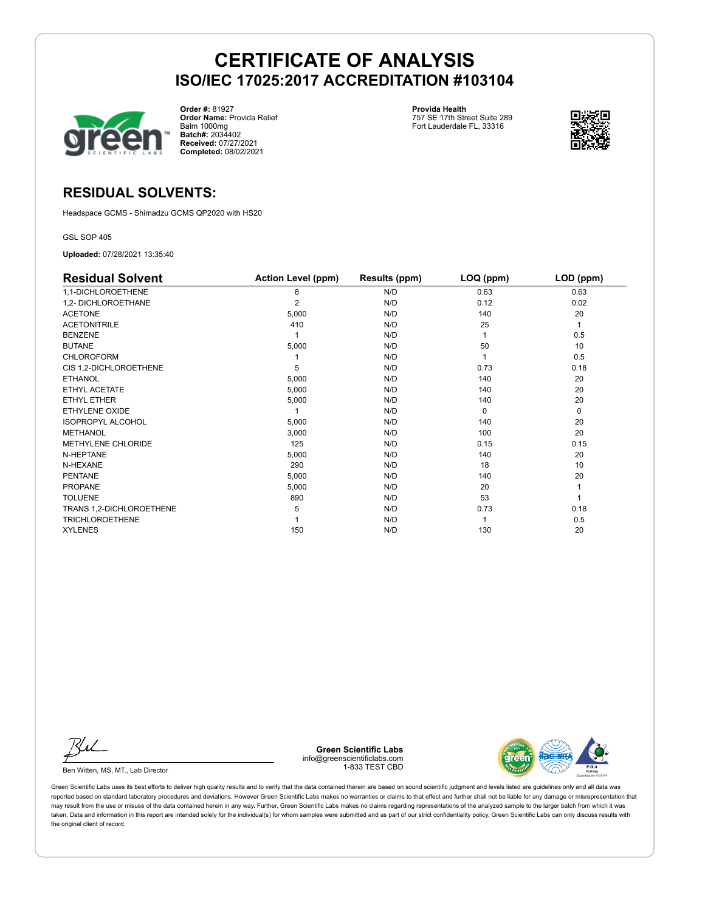

**Order #:** 81927 **Order Name:** Provida Relief Balm 1000mg **Batch#:** 2034402 **Received:** 07/27/2021 **Completed:** 08/02/2021

**Provida Health** 757 SE 17th Street Suite 289 Fort Lauderdale FL, 33316



#### **RESIDUAL SOLVENTS:**

Headspace GCMS - Shimadzu GCMS QP2020 with HS20

GSL SOP 405

**Uploaded:** 07/28/2021 13:35:40

| <b>Residual Solvent</b>   | <b>Action Level (ppm)</b> | Results (ppm) | LOQ (ppm) | LOD (ppm) |
|---------------------------|---------------------------|---------------|-----------|-----------|
| 1,1-DICHLOROETHENE        | 8                         | N/D           | 0.63      | 0.63      |
| 1,2- DICHLOROETHANE       | 2                         | N/D           | 0.12      | 0.02      |
| <b>ACETONE</b>            | 5,000                     | N/D           | 140       | 20        |
| <b>ACETONITRILE</b>       | 410                       | N/D           | 25        | 1         |
| <b>BENZENE</b>            |                           | N/D           |           | 0.5       |
| <b>BUTANE</b>             | 5,000                     | N/D           | 50        | 10        |
| <b>CHLOROFORM</b>         |                           | N/D           |           | 0.5       |
| CIS 1,2-DICHLOROETHENE    | 5                         | N/D           | 0.73      | 0.18      |
| <b>ETHANOL</b>            | 5,000                     | N/D           | 140       | 20        |
| ETHYL ACETATE             | 5,000                     | N/D           | 140       | 20        |
| ETHYL ETHER               | 5,000                     | N/D           | 140       | 20        |
| <b>ETHYLENE OXIDE</b>     |                           | N/D           | $\Omega$  | 0         |
| <b>ISOPROPYL ALCOHOL</b>  | 5,000                     | N/D           | 140       | 20        |
| <b>METHANOL</b>           | 3,000                     | N/D           | 100       | 20        |
| <b>METHYLENE CHLORIDE</b> | 125                       | N/D           | 0.15      | 0.15      |
| N-HEPTANE                 | 5,000                     | N/D           | 140       | 20        |
| N-HEXANE                  | 290                       | N/D           | 18        | 10        |
| <b>PENTANE</b>            | 5,000                     | N/D           | 140       | 20        |
| <b>PROPANE</b>            | 5,000                     | N/D           | 20        |           |
| <b>TOLUENE</b>            | 890                       | N/D           | 53        |           |
| TRANS 1,2-DICHLOROETHENE  | 5                         | N/D           | 0.73      | 0.18      |
| <b>TRICHLOROETHENE</b>    |                           | N/D           |           | 0.5       |
| <b>XYLENES</b>            | 150                       | N/D           | 130       | 20        |

Ku

Ben Witten, MS, MT., Lab Director

**Green Scientific Labs** info@greenscientificlabs.com 1-833 TEST CBD

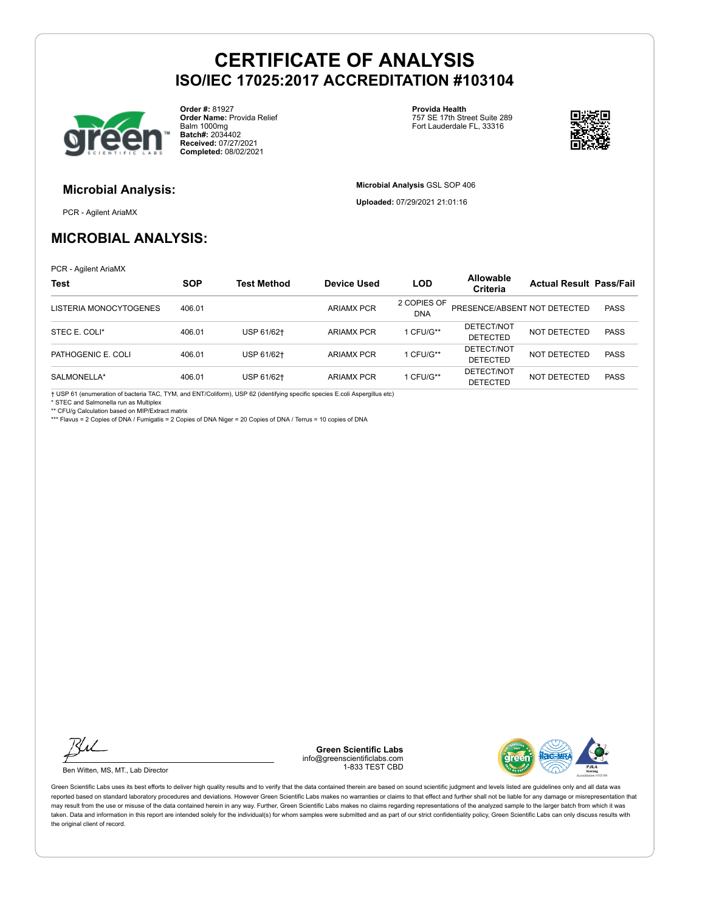

**Order #:** 81927 **Order Name:** Provida Relief Balm 1000mg **Batch#:** 2034402 **Received:** 07/27/2021 **Completed:** 08/02/2021

**Provida Health** 757 SE 17th Street Suite 289 Fort Lauderdale FL, 33316

**Microbial Analysis** GSL SOP 406 **Uploaded:** 07/29/2021 21:01:16



### **Microbial Analysis:**

PCR - Agilent AriaMX

#### **MICROBIAL ANALYSIS:**

PCR - Agilent AriaMX

| <b>Test</b>            | <b>SOP</b> | <b>Test Method</b> | Device Used       | <b>LOD</b>                | <b>Allowable</b><br>Criteria  | <b>Actual Result Pass/Fail</b> |             |
|------------------------|------------|--------------------|-------------------|---------------------------|-------------------------------|--------------------------------|-------------|
| LISTERIA MONOCYTOGENES | 406.01     |                    | <b>ARIAMX PCR</b> | 2 COPIES OF<br><b>DNA</b> | PRESENCE/ABSENT NOT DETECTED  |                                | <b>PASS</b> |
| STEC E. COLI*          | 406.01     | USP 61/62+         | ARIAMX PCR        | 1 CFU/G**                 | DETECT/NOT<br><b>DETECTED</b> | NOT DETECTED                   | <b>PASS</b> |
| PATHOGENIC E. COLI     | 406.01     | USP 61/62+         | <b>ARIAMX PCR</b> | 1 CFU/G**                 | DETECT/NOT<br><b>DETECTED</b> | NOT DETECTED                   | <b>PASS</b> |
| SALMONELLA*            | 406.01     | USP 61/62+         | ARIAMX PCR        | 1 CFU/G**                 | DETECT/NOT<br><b>DETECTED</b> | <b>NOT DETECTED</b>            | <b>PASS</b> |

† USP 61 (enumeration of bacteria TAC, TYM, and ENT/Coliform), USP 62 (identifying specific species E.coli Aspergillus etc)

\* STEC and Salmonella run as Multiplex

\*\* CFU/g Calculation based on MIP/Extract matrix

\*\*\* Flavus = 2 Copies of DNA / Fumigatis = 2 Copies of DNA Niger = 20 Copies of DNA / Terrus = 10 copies of DNA



Ben Witten, MS, MT., Lab Director

**Green Scientific Labs** info@greenscientificlabs.com 1-833 TEST CBD